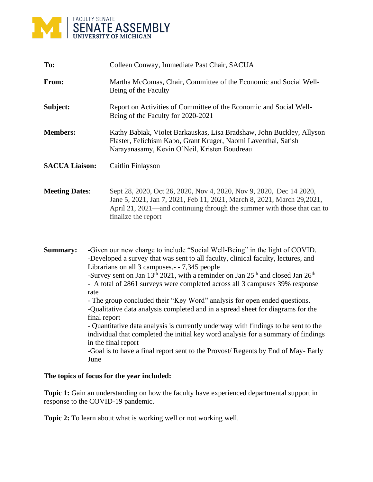

| To:                   |      | Colleen Conway, Immediate Past Chair, SACUA                                                                                                                                                                                                                                                                                                                                                                                                                                                                                                                                                                                                                                                                                                                                                               |  |
|-----------------------|------|-----------------------------------------------------------------------------------------------------------------------------------------------------------------------------------------------------------------------------------------------------------------------------------------------------------------------------------------------------------------------------------------------------------------------------------------------------------------------------------------------------------------------------------------------------------------------------------------------------------------------------------------------------------------------------------------------------------------------------------------------------------------------------------------------------------|--|
| From:                 |      | Martha McComas, Chair, Committee of the Economic and Social Well-<br>Being of the Faculty                                                                                                                                                                                                                                                                                                                                                                                                                                                                                                                                                                                                                                                                                                                 |  |
| Subject:              |      | Report on Activities of Committee of the Economic and Social Well-<br>Being of the Faculty for 2020-2021                                                                                                                                                                                                                                                                                                                                                                                                                                                                                                                                                                                                                                                                                                  |  |
| <b>Members:</b>       |      | Kathy Babiak, Violet Barkauskas, Lisa Bradshaw, John Buckley, Allyson<br>Flaster, Felichism Kabo, Grant Kruger, Naomi Laventhal, Satish<br>Narayanasamy, Kevin O'Neil, Kristen Boudreau                                                                                                                                                                                                                                                                                                                                                                                                                                                                                                                                                                                                                   |  |
| <b>SACUA Liaison:</b> |      | Caitlin Finlayson                                                                                                                                                                                                                                                                                                                                                                                                                                                                                                                                                                                                                                                                                                                                                                                         |  |
| <b>Meeting Dates:</b> |      | Sept 28, 2020, Oct 26, 2020, Nov 4, 2020, Nov 9, 2020, Dec 14 2020,<br>Jane 5, 2021, Jan 7, 2021, Feb 11, 2021, March 8, 2021, March 29, 2021,<br>April 21, 2021—and continuing through the summer with those that can to<br>finalize the report                                                                                                                                                                                                                                                                                                                                                                                                                                                                                                                                                          |  |
| <b>Summary:</b>       | rate | -Given our new charge to include "Social Well-Being" in the light of COVID.<br>-Developed a survey that was sent to all faculty, clinical faculty, lectures, and<br>Librarians on all 3 campuses. - - 7,345 people<br>-Survey sent on Jan 13 <sup>th</sup> 2021, with a reminder on Jan 25 <sup>th</sup> and closed Jan 26 <sup>th</sup><br>- A total of 2861 surveys were completed across all 3 campuses 39% response<br>- The group concluded their "Key Word" analysis for open ended questions.<br>-Qualitative data analysis completed and in a spread sheet for diagrams for the<br>final report<br>- Quantitative data analysis is currently underway with findings to be sent to the<br>individual that completed the initial key word analysis for a summary of findings<br>in the final report |  |

-Goal is to have a final report sent to the Provost/ Regents by End of May- Early June

## **The topics of focus for the year included:**

**Topic 1:** Gain an understanding on how the faculty have experienced departmental support in response to the COVID-19 pandemic.

**Topic 2:** To learn about what is working well or not working well.